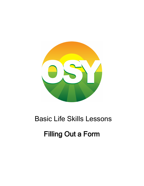# Basic Life Skills Lessons Filling Out a Form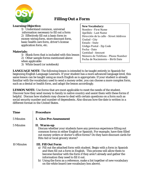

# **Filling Out a Form**

#### **Learning Objective:**

1) Understand common, universal information necessary to fill out a form 2) Effectively fill out a basic form ie: money wiring form, store discount form, basic health care form, driver's license application form, etc.

#### **Materials:**

- 1) Blank form that is included with this lesson
- 2) Other sample forms mentioned above
- when applicable
- 3) White board (or notebook)

#### **New Vocabulary:**

Nombre - First Name Apellido - Last Name Dirección de la calle - Street Address Ciudad - City Estado - State Código Postal - Zip Code Fecha - Date Cantidad - Amount Número de Teléfono - Phone Number Fecha de Nacimiento – Birth Date

**LANGUAGE NOTE**: The following lesson is intended to be taught entirely in Spanish for beginning English Language Learners. If your student has a more advanced language level, this same lesson can be taught using as much English as is appropriate. If your student is already familiar with the vocabulary used to send a money order, you can choose a more complex form, such as a dental or health form, and adapt the lesson accordingly.

**LESSON NOTE:** Use forms that are most applicable to meet the needs of the student. Discover how they send money to family in native country and assist them with these forms if helpful. Discuss how students may choose to deal with certain questions on a form such as social security number and number of dependents. Also discuss how the date is written in a different format in the United States.

| <b>Time</b>       | <b>Procedure</b>                                                                                                                                                                                                                                                                                                                                                                                                            |
|-------------------|-----------------------------------------------------------------------------------------------------------------------------------------------------------------------------------------------------------------------------------------------------------------------------------------------------------------------------------------------------------------------------------------------------------------------------|
| 5 Minutes         | <b>I. Give Pre-Assessment</b>                                                                                                                                                                                                                                                                                                                                                                                               |
| 5 Minutes         | II. Warm-up<br>Discuss whether your students have any previous experience filling out<br>common forms in either English or Spanish. For example, have they filled<br>out money orders or doctor's office forms? Do they have discount cards for<br>Rite Aid or local grocery stores?                                                                                                                                        |
| <b>10 Minutes</b> | <b>III. Fill Out Form</b><br>a) Fill out the attached form with student. Begin with a form in Spanish<br>and then fill out a form in English. This process will allow them to<br>become familiar with the form if they aren't already and gather the<br>information they need to fill it out.<br>b) Using the form as a reference, make a list together of new vocabulary<br>on the white board (see vocabulary box above). |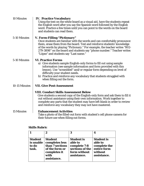| <b>10 Minutes</b> | <b>IV. Practice Vocabulary</b><br>Using the text on the white board as a visual aid, have the students repeat<br>the English word after you say the Spanish word followed by the English<br>word. Practice a few times until you can point to the words on the board<br>and students can read them.                                                                                  |
|-------------------|--------------------------------------------------------------------------------------------------------------------------------------------------------------------------------------------------------------------------------------------------------------------------------------------------------------------------------------------------------------------------------------|
| 5-10 Minutes      | V. Form-Filling "Pictionary"<br>Once students are familiar with the words and can comfortably pronounce<br>them, erase them from the board. Test and reinforce students' knowledge<br>of the words by playing "Pictionary." For example, the teacher writes "802-<br>279-3898" on the board and students say "phone number." Teacher writes<br>"López" and students say "Last name." |
| 5-10 Minutes      | <b>VI. Practice Forms</b><br>a) Give students sample English-only forms to fill out using sample<br>information (see sample information and form provided with this<br>lesson). Use "scrambled" and/or regular form depending on level of<br>difficulty your student needs.<br>b) Practice and reinforce any vocabulary that students struggled with<br>when filling out the form.   |
| 10-15 Minutes     | <b>VII. Give Post-Assessment</b>                                                                                                                                                                                                                                                                                                                                                     |
|                   | <b>VIII. Conduct Skills Assessment Below</b><br>Give students a second copy of the English-only form and ask them to fill it<br>out without assistance using their own information. Work together to<br>complete any parts that the student may have left blank in order to review<br>and reinforce any vocabulary they may not have mastered.                                       |
| <b>15 Minutes</b> | <b>Enhancement Activities</b><br>Take a photo of the filled-out form with student's cell phone camera for<br>their future use when filling out forms.                                                                                                                                                                                                                                |

### **Skills Rubric**

|                                               | 2                                                                                                            | 3                                                                                              | 4                                                                                     |
|-----------------------------------------------|--------------------------------------------------------------------------------------------------------------|------------------------------------------------------------------------------------------------|---------------------------------------------------------------------------------------|
| <b>Student</b><br>is unable<br>to do<br>task. | <b>Student</b><br>completes less<br>than 7 sections<br>of the form or<br>completes it<br>with<br>assistance. | <b>Student is</b><br>able to<br>complete 7-8<br>sections of the<br>form without<br>assistance. | <b>Student is</b><br>able to<br>complete the<br>entire form<br>without<br>assistance. |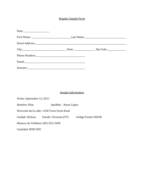#### Regular Sample Form

#### Sample Information

Fecha: September 12, 2011 Nombre: Pilar Apellido: Rosas López Dirección de la calle: 1258 Town Farm Road Ciudad: Chelsea Estado: Vermont (VT) Código Postal: 05038 Número de Teléfono: 802-522-3498 Cantidad: \$500 USD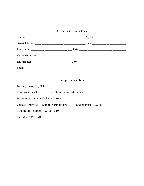## "Scrambled" Sample Form

| <b>Sample Information</b>                      |                      |  |  |
|------------------------------------------------|----------------------|--|--|
| Fecha: January 23, 2011                        |                      |  |  |
| Nombre: Eduardo<br>Apellido: García de la Cruz |                      |  |  |
| Dirección de la calle: 565 Brook Road          |                      |  |  |
| Ciudad: Braintree Estado: Vermont (VT)         | Código Postal: 05060 |  |  |
| Número de Teléfono: 802-505-3105               |                      |  |  |
| Cantidad: \$350 USD                            |                      |  |  |
|                                                |                      |  |  |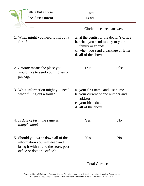| <b>Filling Out a Form</b><br>Pre-Assessment                                                                                                | Date:<br>Name:                                       |                                                                                                                                         |  |
|--------------------------------------------------------------------------------------------------------------------------------------------|------------------------------------------------------|-----------------------------------------------------------------------------------------------------------------------------------------|--|
|                                                                                                                                            | Circle the correct answer.                           |                                                                                                                                         |  |
| 1. When might you need to fill out a<br>form?                                                                                              | d. all of the above                                  | a. at the dentist or the doctor's office<br>b. when you send money to your<br>family or friends<br>c. when you send a package or letter |  |
| 2. <i>Amount</i> means the place you<br>would like to send your money or<br>package.                                                       | True                                                 | False                                                                                                                                   |  |
| 3. What information might you need<br>when filling out a form?                                                                             | address<br>c. your birth date<br>d. all of the above | a. your first name and last name<br>b. your current phone number and                                                                    |  |
| 4. Is <i>date of birth</i> the same as<br>today's date?                                                                                    | Yes                                                  | N <sub>0</sub>                                                                                                                          |  |
| 5. Should you write down all of the<br>information you will need and<br>bring it with you to the store, post<br>office or doctor's office? | Yes                                                  | N <sub>0</sub>                                                                                                                          |  |
|                                                                                                                                            |                                                      | Total Correct:                                                                                                                          |  |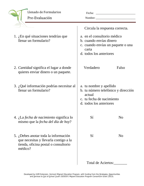|                                                              | Llenado de Formularios<br>Pre-Evaluación                                                                                         | Fecha:<br>Nombre:                                                                                                                |                |
|--------------------------------------------------------------|----------------------------------------------------------------------------------------------------------------------------------|----------------------------------------------------------------------------------------------------------------------------------|----------------|
|                                                              |                                                                                                                                  | Circula la respuesta correcta.                                                                                                   |                |
| 1. ¿En qué situaciones tendrías que<br>llenar un formulario? |                                                                                                                                  | a. en el consultorio médico<br>b. cuando envías dinero<br>c. cuando envías un paquete o una<br>carta<br>d. todos los anteriores  |                |
|                                                              | 2. Cantidad significa el lugar a donde<br>quieres enviar dinero o un paquete.                                                    | Verdadero                                                                                                                        | Falso          |
|                                                              | 3. ¿Qué información podrías necesitar al<br>llenar un formulario?                                                                | a. tu nombre y apellido<br>b. tu número telefónico y dirección<br>actual<br>c. tu fecha de nacimiento<br>d. todos los anteriores |                |
|                                                              | 4. ¿La fecha de nacimiento significa lo<br>mismo que la <i>fecha del día de hoy</i> ?                                            | Sí                                                                                                                               | N <sub>0</sub> |
|                                                              | 5. ¿Debes anotar toda la información<br>que necesitas y llevarla contigo a la<br>tienda, oficina postal o consultorio<br>médico? | Sí                                                                                                                               | N <sub>0</sub> |
|                                                              |                                                                                                                                  | Total de Aciertos:                                                                                                               |                |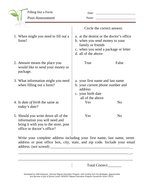| <b>Filling Out a Form</b><br>Post-Assessment                                                                                               | Date:<br>Name:                                                                                                                                                 | <u> 1989 - Johann Barbara, martin amerikan basal dan berasal dalam basal dalam basal dalam basal dalam basal dala</u> |
|--------------------------------------------------------------------------------------------------------------------------------------------|----------------------------------------------------------------------------------------------------------------------------------------------------------------|-----------------------------------------------------------------------------------------------------------------------|
|                                                                                                                                            |                                                                                                                                                                | Circle the correct answer.                                                                                            |
| 1. When might you need to fill out a<br>form?                                                                                              | a. at the dentist or the doctor's office<br>b. when you send money to your<br>family or friends<br>c. when you send a package or letter<br>d. all of the above |                                                                                                                       |
| 2. <i>Amount</i> means the place you<br>would like to send your money or<br>package.                                                       | True                                                                                                                                                           | False                                                                                                                 |
| 3. What information might you need<br>when filling out a form?                                                                             | a. your first name and last name<br>b. your current phone number and<br>address<br>c. your birth date<br>all of the above                                      |                                                                                                                       |
| 4. Is <i>date of birth</i> the same as<br>today's date?                                                                                    | Yes                                                                                                                                                            | N <sub>0</sub>                                                                                                        |
| 5. Should you write down all of the<br>information you will need and<br>bring it with you to the store, post<br>office or doctor's office? | Yes                                                                                                                                                            | N <sub>o</sub>                                                                                                        |
| Write your complete address including your first name, last name, street                                                                   |                                                                                                                                                                |                                                                                                                       |

Write your complete address including your first name, last name, street address or post office box, city, state, and zip code. Include your email address. (not scored) \_\_\_\_\_\_\_\_\_\_\_\_\_\_\_\_\_\_\_\_\_\_\_\_\_\_\_\_\_\_\_\_\_\_\_\_\_\_\_\_\_\_\_\_

\_\_\_\_\_\_\_\_\_\_\_\_\_\_\_\_\_\_\_\_\_\_\_\_\_\_\_\_\_\_\_\_\_\_\_\_\_\_\_\_\_\_\_\_\_\_\_\_\_\_\_\_\_\_\_\_\_\_\_\_\_

\_\_\_\_\_\_\_\_\_\_\_\_\_\_\_\_\_\_\_\_\_\_\_\_\_\_\_\_\_\_\_\_\_\_\_\_\_\_\_\_\_\_\_\_\_\_\_\_\_\_\_\_\_\_\_\_\_\_\_\_\_

Total Correct: